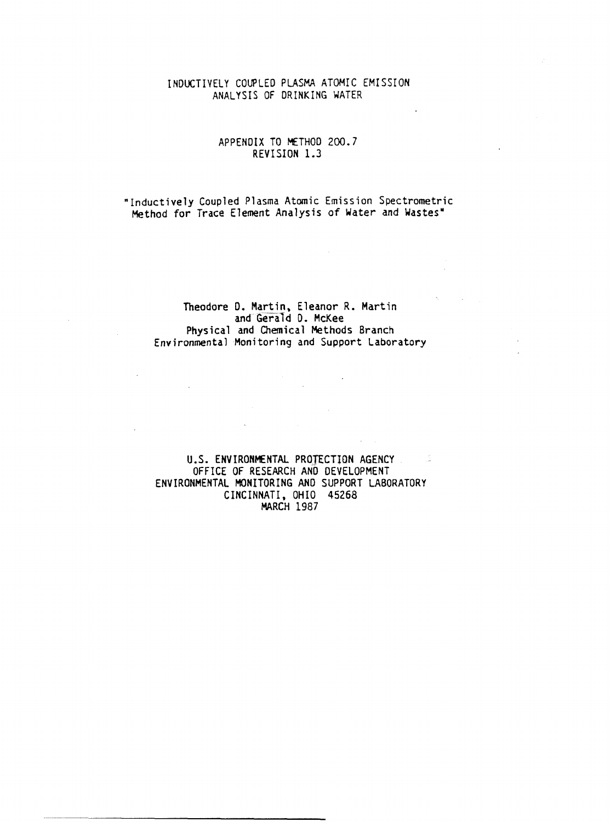## INDUCTIVELY COUPLED PLASMA ATOMIC EMISSION ANALYSIS OF DRINKING WATER

## APPENDIX TO METHOD 200.7 REVISION 1.3

Inductively Coupled Plasma Atomic Emission Spectrometric Method for Trace Element Analysis of Water and Wastes

### Theodore D. Martin, Eleanor R. Martin and Gerald D. McKee Physical and Chemical Methods Branch Environmental Monitoring and Support Laboratory

#### U.S. ENVIRONMENTAL PROTECTION AGENCY - 11 OFFICE OF RESEARCH AND DEVELOPMENT ENVIRONMENTAL MONITORING AND SUPPORT LABORATORY CINCINNATI, OHIO 45268 MARCH 1987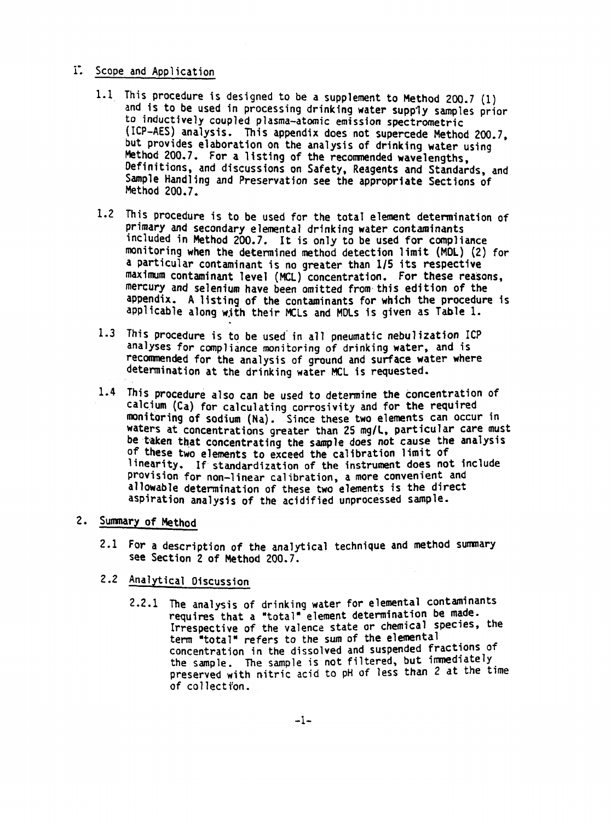## 1. Scope and Application

- 1.1 This procedure is designed to be a supplement to Method 200.7 (1) and is to be used in processing drinking water supply samples prior to inductively coupled plasma atomic emission spectrometric (ICP-AES) analysis. This appendix does not supercede Method 200.7. Method 200.7. For a listing of the recommended wavelengths but provides elaboration on the analysis of drinking water using Definitions, and discussions on Safety, Reagents and Standards, and sample Handling and Preservation see the appropriate Sections of Method 200.7.
- 1.2 This procedure is to be used for the total element determination of primary and secondary elemental drinking water contaminants included in Method 200.7. It is only to be used for compliance monitoring when the determined method detection limit (MDL) (2) for a particular contaminant is no greater than 1/5 its respective maximum contaminant level (MCL) concentration. For these reasons, mercury and selenium have been omitted from this edition of the appendix. A listing of the contaminants for which the procedure is applicable along with their MCLs and MDLs is given as Table 1.
- 1.3 This procedure is to be used in all pneumatic nebulization ICP analyses for compliance monitoring of drinking water, and is recommended for the analysis of ground and surface water where determination at the drinking water MCL is requested.
- 1.4 This procedure also can be used to determine the concentration of calcium (Ca) for calculating corrosivity and for the required monitoring of sodium (Na). Since these two elements can occur in waters at concentrations greater than 25 mg/L, particular care must be taken that concentrating the sample does not cause the analysis of these two elements to exceed the calibration limit of linearity. If standardization of the instrument does not include provision for non-linear calibration, a more convenient and allowable determination of these two elements is the direct aspiration analysis of the acidified unprocessed sample

# 2. Summary of Method

- 2.1 For a description of the analytical technique and method summary see Section 2 of Method 200.7.
- 2.2 Analytical Discussion
	- 2.2.1 The analysis of drinking water for elemental contaminants requires that a "total" element determination be made. Irrespective of the valence state or chemical species, the term "total" refers to the sum of the elemental concentration in the dissolved and suspended fractions of the sample. The sample is not filtered, but immediately preserved with nitric acid to pH of less than 2 at the time of collection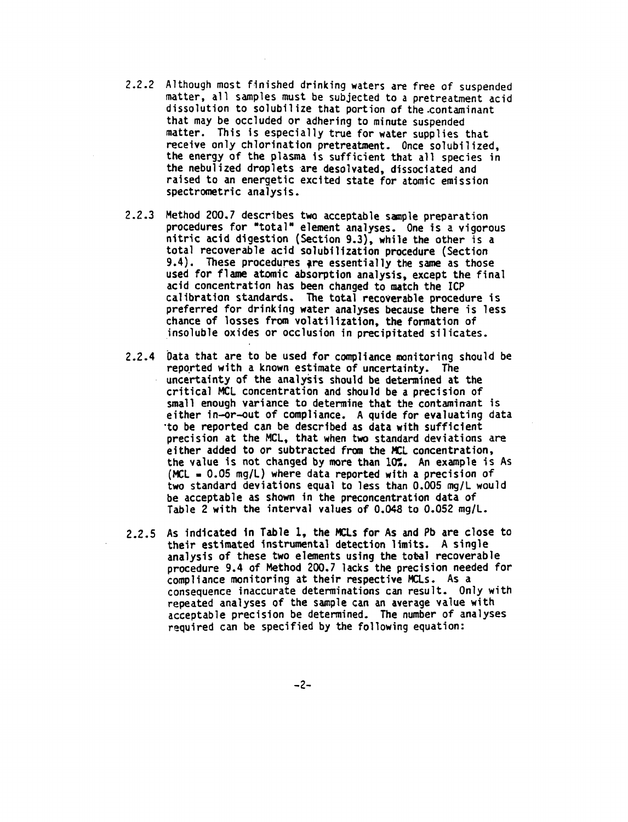- Although most finished drinking waters are free of suspended matter, all samples must be subjected to a pretreatment acid dissolution to solubilize that portion of the contaminant that may be occluded or adhering to minute suspended matter. This is especially true for water supplies that receive only chlorination pretreatment. Once solubilized. the energy of the plasma is sufficient that all species in the nebulized droplets are desolvated, dissociated and raised to an energetic excited state for atomic emission spectrometric analysis
- 2.2.3 Method 200.7 describes two acceptable sample preparation procedures for "total" element analyses. One is a vigorous nitric acid digestion (Section 9.3), while the other is a total recoverable acid solubilization procedure (Section 9.4). These procedures are essentially the same as those used for flame atomic absorption analysis, except the final acid concentration has been changed to match the ICF calibration standards. The total recoverable procedure is preferred for drinking water analyses because there is less chance of losses from volatilization, the formation of insoluble oxides or occlusion in precipitated silicates
- 2.2.4 Data that are to be used for compliance monitoring should be reported with a known estimate of uncertainty. The uncertainty of the analysis should be determined at the critical MCL concentration and should be a precision of small enough variance to determine that the contaminant is either in-or-out of compliance. A quide for evaluating data to be reported can be described as data with sufficient precision at the MCL, that when two standard deviations are either added to or subtracted from the MCL concentration, the value is not changed by more than  $10\%$ . An example is As (MCL =  $0.05$  mg/L) where data reported with a precision of two standard deviations equal to less than 0.005 mg/L would be acceptable as shown in the preconcentration data of Table 2 with the interval values of 0.048 to 0.052 mg/L.
- 2.2.5 As indicated in Table 1, the MCLs for As and Pb are close to their estimated instrumental detection limits. A single analysis of these two elements using the total recoverable procedure 9.4 of Method 200.7 lacks the precision needed for compliance monitoring at their respective MCLs. As a consequence inaccurate determinations can result. Only with repeated analyses of the sample can an average value with acceptable precision be determined. The number of analyses required can be specified by the following equation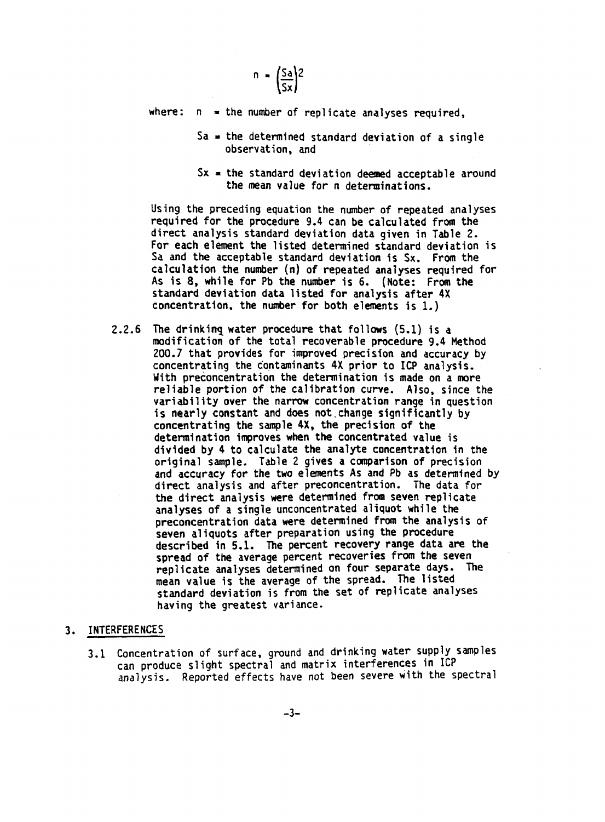$$
n = \left(\frac{Sa}{Sx}\right)^2
$$

where:  $\Box$  = the number of replicate analyses required,

- $Sa = the determined standard deviation of a single$ observation, and
- $Sx =$  the standard deviation deemed acceptable around the mean value for a determinations.

Using the preceding equation the number of repeated analyses required for the procedure 9.4 can be calculated from the direct analysis standard deviation data given in Table For each element the listed determined standard deviation is Sa and the acceptable standard deviation is Sx. From the calculation the number  $(n)$  of repeated analyses required for As is  $8$ , while for Pb the number is  $6$ . (Note: From the standard deviation data listed for analysis after 4X concentration, the number for both elements is  $1.$ )

 $2.2.6$  The drinking water procedure that follows  $(5.1)$  is a modification of the total recoverable procedure 9.4 Method 200.7 that provides for improved precision and accuracy by concentrating the contaminants 4X prior to ICP analysis With preconcentration the determination is made on a more reliable portion of the calibration curve. Also, since the variability over the narrow concentration range in question is nearly constant and does not change significantly by concentrating the sample  $4X$ , the precision of the determination improves when the concentrated value is divided by to calculate the analyte concentration in the original sample. Table 2 gives a comparison of precision and accuracy for the two elements As and Pb as determined by direct analysis and after preconcentration. The data for the direct analysis were determined from seven replicate analyses of a single unconcentrated aliquot while the preconcentration data were determined from the analysis of seven aliquots after preparation using the procedure described in 5.1. The percent recovery range data are the spread of the average percent recoveries from the seven replicate analyses determined on four separate days. The mean value is the average of the spread. The listed standard deviation is from the set of replicate analyses having the greatest variance

### 3. INTERFERENCES

3.1 Concentration of surface, ground and drinking water supply samples can produce slight spectral and matrix interferences in ICP analysis. Reported effects have not been severe with the spectral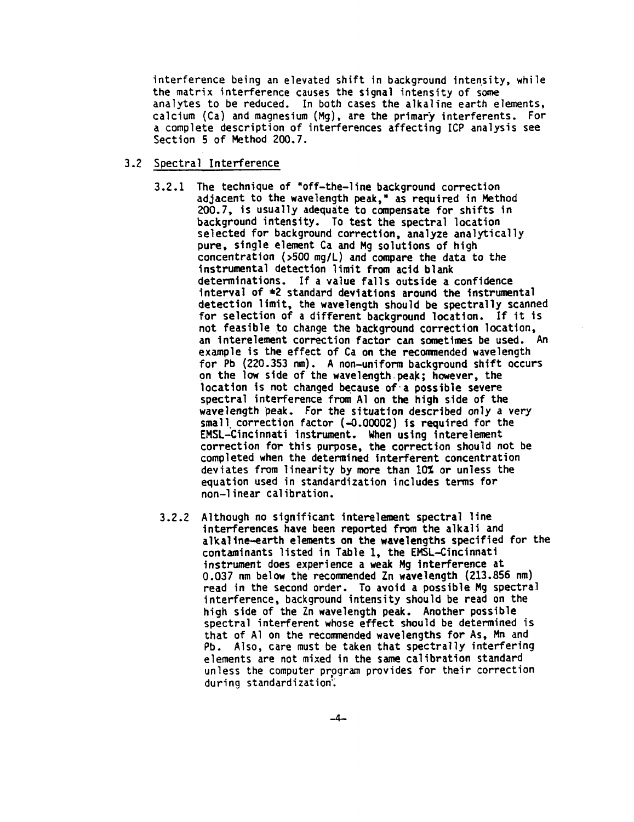interference being an elevated shift in background intensity, while the matrix interference causes the signal intensity of some analytes to be reduced. In both cases the alkaline earth elements, calcium (Ca) and magnesium (Mg), are the primary interferents. For complete description of interferences affecting ICP analysis see Section 5 of Method 200.7.

## 3.2 Spectral Interference

- $3.2.1$  The technique of "off-the-line background correction adjacent to the wavelength peak," as required in Method 200.7, is usually adequate to compensate for shifts in background intensity. To test the spectral location selected for background correction, analyze analytically pure, single element Ca and Mg solutions of high concentration  $(500 \text{ mg/L})$  and compare the data to the instrumental detection limit from acid blank determinations. If a value falls outside a confidence interval of  $\neq 2$  standard deviations around the instrumental detection limit, the wavelength should be spectrally scanned for selection of a different background location. If it is not feasible to change the background correction location an interelement correction factor can sometimes be used. An example is the effect of Ca on the recommended wavelength for Pb  $(220.353 \text{ nm})$ . A non-uniform background shift occurs on the low side of the wavelength peak: however, the location is not changed because of a possible severe spectral interference from A1 on the high side of the wavelength peak. For the situation described only a very small correction factor  $(-0.00002)$  is required for the EMSL-Cincinnati instrument. When using interelement correction for this purpose, the correction should not be completed when the determined interferent concentration deviates from linearity by more than 10% or unless the equation used in standardization includes terms for non-linear calibration.
- Although no significant interelement spectral line interferences have been reported from the alkali and alkaline earth elements on the wavelengths specified for the contaminants listed in Table 1, the EMSL-Cincinnati instrument does experience a weak Mg interference at 0.037 nm below the recommended Zn wavelength (213.856 nm) read in the second order. To avoid a possible Mg spectral interference, background intensity should be read on the high side of the Zn wavelength peak. Another possible spectral interferent whose effect should be determined is that of A1 on the recommended wavelengths for As, Mn and Pb. Also, care must be taken that spectrally interfering elements are not mixed in the same calibration standard unless the computer program provides for their correction during standardization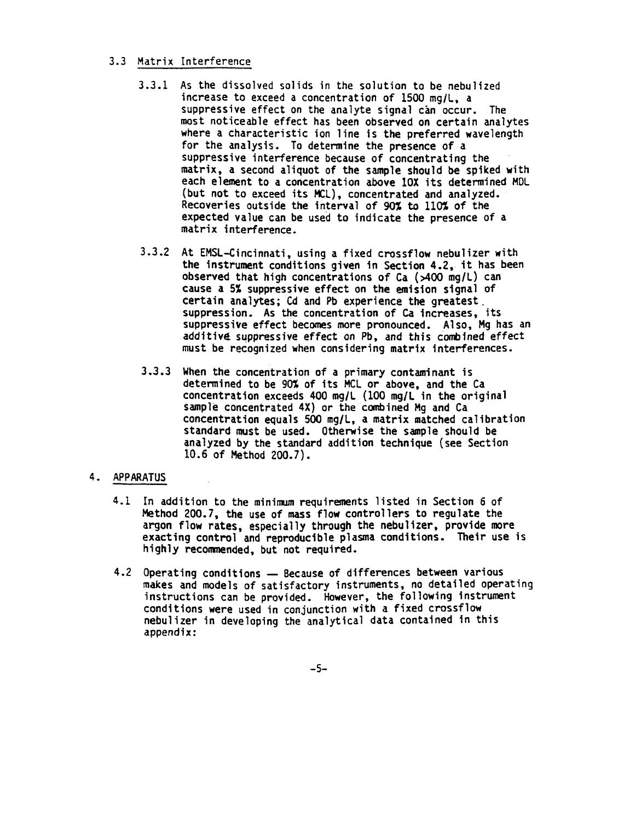## 3.3 Matrix Interference

- 3.3.1 As the dissolved solids in the solution to be nebulized increase to exceed a concentration of  $1500$  mg/L, a suppressive effect on the analyte signal can occur. The most noticeable effect has been observed on certain analytes where a characteristic ion line is the preferred wavelength for the analysis. To determine the presence of a suppressive interference because of concentrating the matrix, a second aliquot of the sample should be spiked with each element to a concentration above 10X its determined MDL (but not to exceed its MCL), concentrated and analyzed. Recoveries outside the interval of  $90\%$  to  $110\%$  of the expected value can be used to indicate the presence of matrix interference
- 3.3.2 At EMSL-Cincinnati, using a fixed crossflow nebulizer with the instrument conditions given in Section 4.2, it has been observed that high concentrations of Ca  $($   $\rtimes$  00 mg/L) can cause a 5% suppressive effect on the emision signal of certain analytes; Cd and Pb experience the greatest. suppression. As the concentration of Ca increases, its suppressive effect becomes more pronounced. Also, Mg has an additive suppressive effect on Pb, and this combined effect must be recognized when considering matrix interferences
- 3.3.3 When the concentration of a primary contaminant is determined to be 90% of its MCL or above, and the Ca concentration exceeds 400 mg/L (100 mg/L in the original sample concentrated 4X) or the combined Mg and Ca concentration equals 500 mg/L, a matrix matched calibration standard must be used. Otherwise the sample should be analyzed by the standard addition technique (see Section 10.6 of Method 200.7).

## 4. APPARATUS

- 4.1 In addition to the minimum requirements listed in Section 6 of Method 200.7, the use of mass flow controllers to regulate the argon flow rates, especially through the nebulizer, provide more exacting control and reproducible plasma conditions. Their use is highly recommended, but not required.
- 4.2 Operating conditions Because of differences between various makes and models of satisfactory instruments no detailed operating instructions can be provided. However, the following instrument conditions were used in conjunction with a fixed crossflow nebulizer in developing the analytical data contained in this appendix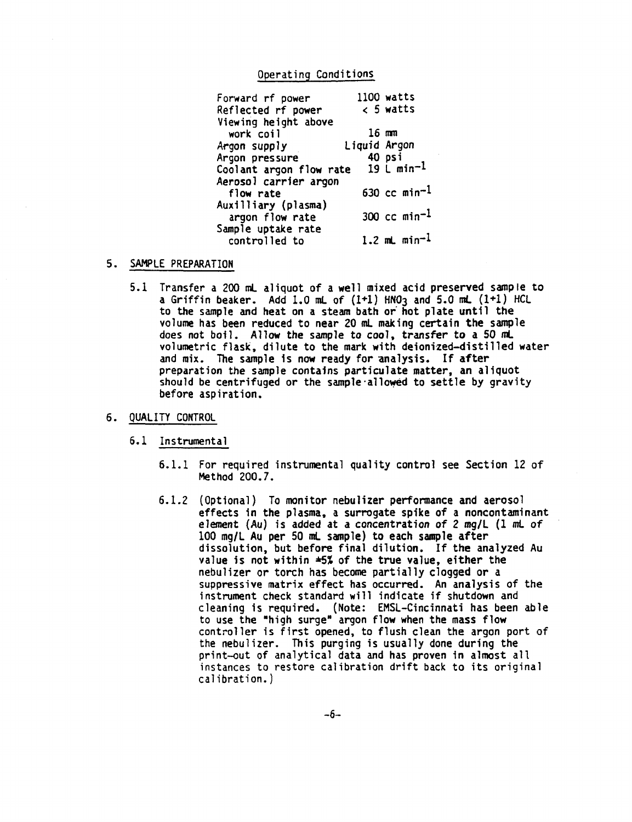#### Operating Conditions

|                         | 1100 watts               |
|-------------------------|--------------------------|
|                         | $<$ 5 watts              |
|                         |                          |
|                         | $16$ mm                  |
|                         |                          |
|                         | 40 psi                   |
| Coolant argon flow rate | 19 L min <sup>-1</sup>   |
|                         |                          |
|                         | 630 cc min <sup>-1</sup> |
|                         |                          |
|                         | 300 cc $min^{-1}$        |
|                         |                          |
|                         | 1.2 mL $min^{-1}$        |
|                         | Liquid Argon             |

- SAMPLE PREPARATION
	- 5.1 Transfer a 200 mL aliquot of a well mixed acid preserved sample to a Griffin beaker. Add 1.0 mL of  $(1+1)$  HNO3 and 5.0 mL  $(1+1)$  HCL to the sample and heat on a steam bath or hot plate until the volume has been reduced to near 20 mL making certain the sample does not boil. Allow the sample to cool, transfer to a 50 mL volumetric flask, dilute to the mark with deionized-distilled water and mix. The sample is now ready for analysis. If after preparation the sample contains particulate matter, an aliquot should be centrifuged or the sample allowed to settle by gravity before aspiration

### 6. QUALITY CONTROL

- 6.1 Instrumental
	- 6.1.1 For required instrumental quality control see Section 12 of Method 200.7.
	- 6.1.2 (Optional) To monitor nebulizer performance and aerosol effects in the plasma, a surrogate spike of a noncontaminant element (Au) is added at a concentration of 2 mg/L (1 mL of 100 mg/L Au per 50 mL sample) to each sample after dissolution, but before final dilution. If the analyzed Au value is not within  $\pm 5\%$  of the true value, either the nebulizer or torch has become partially clogged or suppressive matrix effect has occurred. An analysis of the instrument check standard will indicate if shutdown and cleaning is required. (Note: EMSL-Cincinnati has been able to use the "high surge" argon flow when the mass flow controller is first opened, to flush clean the argon port of the nebulizer. This purging is usually done during the print-out of analytical data and has proven in almost all instances to restore calibration drift back to its original calibration.)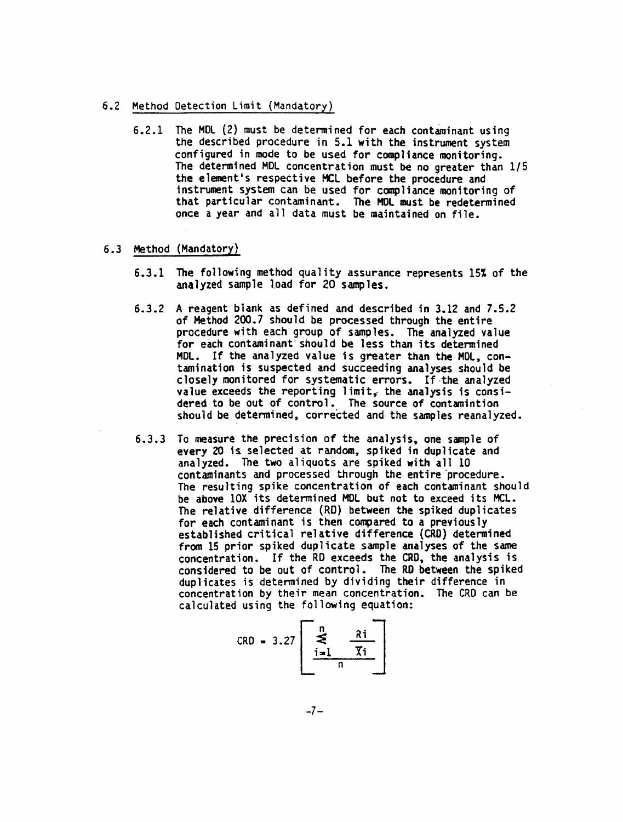- 6.2 Method Detection Limit (Mandatory)
	- $6.2.1$  The MDL (2) must be determined for each contaminant using the described procedure in 5.1 with the instrument system configured in mode to be used for compliance monitoring The determined MDL concentration must be no greater than 1/5 the element's respective MCL before the procedure and instrument system can be used for compliance monitoring of that particular contaminant. The MOL must be redetermined once a year and all data must be maintained on file.
- 6.3 Method (Mandatory)
	- 6.3.1 The following method quality assurance represents 15% of the analyzed sample load for 20 samples.
	- 6.3.2 A reagent blank as defined and described in 3.12 and  $7.5.2$ of Method 200.7 should be processed through the entire procedure with each group of samples. The analyzed value for each contaminant should be less than its determined MDL. If the analyzed value is greater than the MDL, contamination is suspected and succeeding analyses should be closely monitored for systematic errors. If the analyzed value exceeds the reporting limit, the analysis is considered to be out of control. The source of contamintion should be determined, corrected and the samples reanalyzed.
	- 6.3.3 To measure the precision of the analysis, one sample of every 20 is selected at random, spiked in duplicate and analyzed. The two aliquots are spiked with all 10 contaminants and processed through the entire procedure The resulting spike concentration of each contaminant should be above 10X its determined MOL but not to exceed its MCL The relative difference (RD) between the spiked duplicates for each contaminant is then compared to a previously established critical relative difference (CRD) determined from <sup>15</sup> prior spiked duplicate sample analyses of the same concentration. If the RD exceeds the CRD, the analysis is considered to be out of control. The RD between the spiked duplicates is determined by dividing their difference in concentration by their mean concentration. The CRD can be calculated using the following equation

$$
CRD = 3.27 \begin{bmatrix} n \\ \text{max} \\ \frac{i=1}{n} \end{bmatrix} \frac{Ri}{Xi}
$$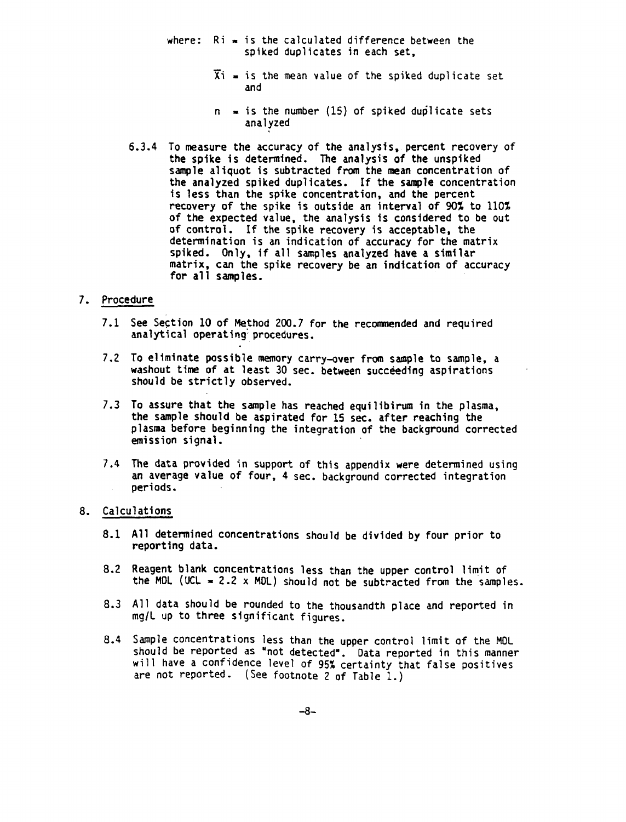- where:  $Ri = is$  the calculated difference between the spiked duplicates in each set
	- $\overline{X}$ i = is the mean value of the spiked duplicate set and
	- $n = i$ s the number (15) of spiked duplicate sets analyzed
- 6.3.4 To measure the accuracy of the analysis, percent recovery of the spike is determined. The analysis of the unspiked sample aliquot is subtracted from the mean concentration of the analyzed spiked duplicates. If the sample concentration is less than the spike concentration, and the percent recovery of the spike is outside an interval of  $90\%$  to  $110\%$ of the expected value, the analysis is considered to be out of control. If the spike recovery is acceptable, the determination is an indication of accuracy for the matrix spiked. Only, if all samples analyzed have a similar matrix, can the spike recovery be an indication of accuracy for all samples

### 7. Procedure

- 7.1 See Section 10 of Method 200.7 for the recommended and required analytical operating procedures.
- 7.2 To eliminate possible memory carry-over from sample to sample, a washout time of at least 30 sec. between succeeding aspirations should be strictly observed
- 7.3 To assure that the sample has reached equilibirum in the plasma, the sample should be aspirated for 15 sec. after reaching the plasma before beginning the integration of the background corrected emission signal
- 7.4 The data provided in support of this appendix were determined using an average value of four, 4 sec. background corrected integration periods

## Calculations

- All determined concentrations should be divided by four prior to reporting data
- 8.2 Reagent blank concentrations less than the upper control limit of the MDL (UCL = 2.2 x MDL) should not be subtracted from the samples.
- All data should be rounded to the thousandth place and reported in mg/L up to three significant figures.
- Sample concentrations less than the upper control limit of the MOL should be reported as "not detected". Data reported in this manner will have a confidence level of 95% certainty that false positives are not reported. (See footnote 2 of Table 1.)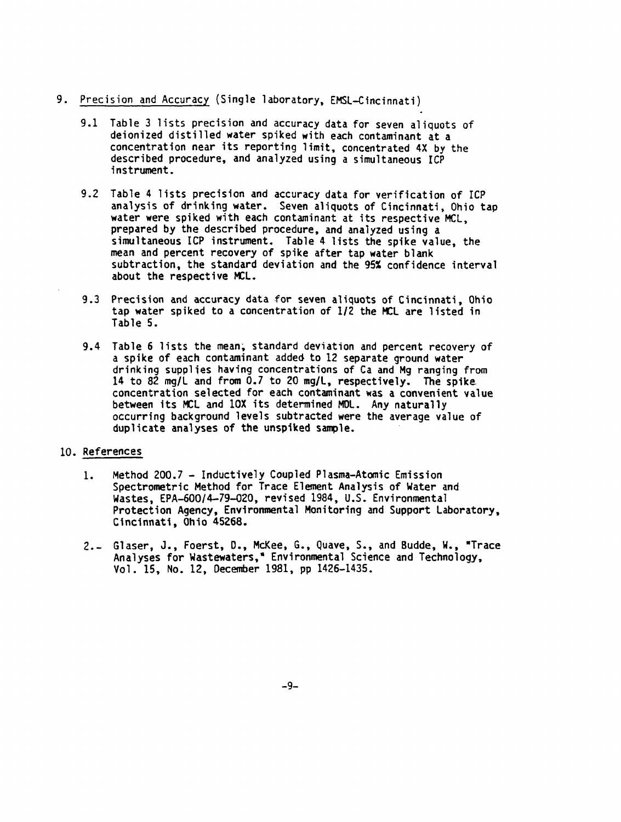- 9. Precision and Accuracy (Single laboratory, EMSL-Cincinnati)
	- 9.1 Table 3 lists precision and accuracy data for seven aliquots of deionized distilled water spiked with each contaminant at concentration near its reporting limit, concentrated 4X by the described procedure, and analyzed using a simultaneous ICP instrument
	- 9.2 Table 4 lists precision and accuracy data for verification of ICP analysis of drinking water. Seven aliquots of Cincinnati, Ohio tap water were spiked with each contaminant at its respective MCL. prepared by the described procedure, and analyzed using a simultaneous ICP instrument. Table 4 lists the spike value, the mean and percent recovery of spike after tap water blank subtraction, the standard deviation and the 95% confidence interval about the respective MCL
	- 9.3 Precision and accuracy data for seven aliquots of Cincinnati, Ohio tap water spiked to a concentration of  $1/2$  the MCL are listed in Table 5.
	- 9.4 Table 6 lists the mean, standard deviation and percent recovery of a spike of each contaminant added to 12 separate ground water drinking supplies having concentrations of Ca and Mg ranging from 14 to 82 mg/L and from 0.7 to 20 mg/L, respectively. The spike concentration selected for each contaminant was convenient value between its MCL and 10X its determined MDL. Any naturally occurring background levels subtracted were the average value of duplicate analyses of the unspiked sample.

## 10. References

- Method 200.7 Inductively Coupled Plasma-Atomic Emission 1. Spectrometric Method for Trace Element Analysis of Water and Wastes, EPA-600/4-79-020, revised 1984, U.S. Environmental Protection Agency, Environmental Monitoring and Support Laboratory, Cincinnati, Ohio 45268.
- Glaser, J., Foerst, D., McKee, G., Quave, S., and Budde, W., "Trace  $2. -$ Analyses for Wastewaters," Environmental Science and Technology, Vol. 15, No. 12, December 1981, pp 1426-1435.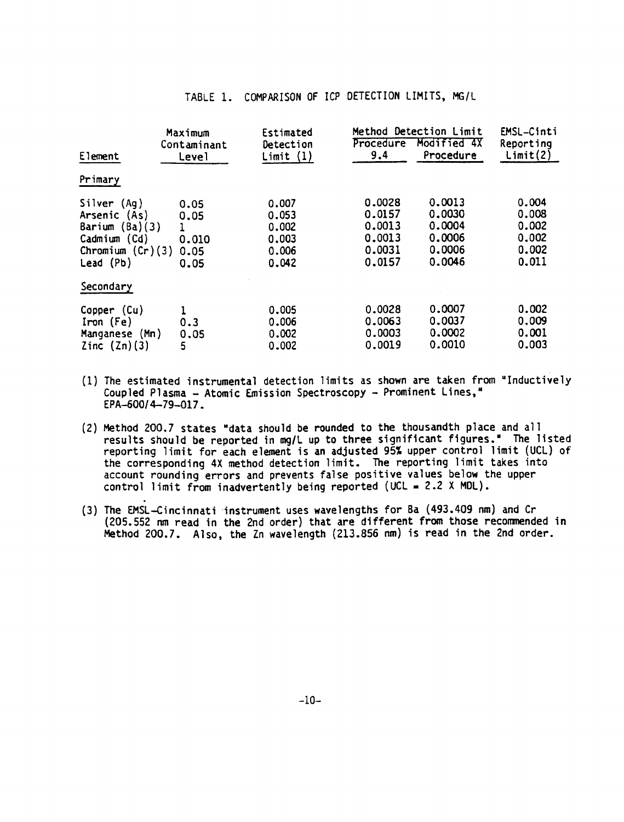| Element                                                                                            | Maximum<br>Contaminant<br>Level       | Estimated<br>Detection<br>Limit(1)                 | Method Detection Limit<br>Procedure<br>9,4               | Modified 4X<br>Procedure                                 | EMSL-Cinti<br>Reporting<br>Limit(2)                |
|----------------------------------------------------------------------------------------------------|---------------------------------------|----------------------------------------------------|----------------------------------------------------------|----------------------------------------------------------|----------------------------------------------------|
| Primary                                                                                            |                                       |                                                    |                                                          |                                                          |                                                    |
| Silver (Aq)<br>Arsenic (As)<br>Barium $(Ba)(3)$<br>Cadmium (Cd)<br>Chromium $(Cr)(3)$<br>Lead (Pb) | 0.05<br>0.05<br>0.010<br>0.05<br>0.05 | 0.007<br>0.053<br>0.002<br>0.003<br>0.006<br>0.042 | 0.0028<br>0.0157<br>0.0013<br>0.0013<br>0.0031<br>0.0157 | 0.0013<br>0,0030<br>0.0004<br>0.0006<br>0.0006<br>0.0046 | 0.004<br>0.008<br>0.002<br>0,002<br>0.002<br>0.011 |
| Secondary                                                                                          |                                       |                                                    |                                                          |                                                          |                                                    |
| Copper (Cu)<br>$iron$ (Fe)<br>Manganese (Mn)<br>Zinc $(2n)(3)$                                     | 0.3<br>0.05<br>5                      | 0.005<br>0.006<br>0.002<br>0.002                   | 0.0028<br>0.0063<br>0.0003<br>0.0019                     | 0.0007<br>0.0037<br>0.0002<br>0.0010                     | 0.002<br>0.009<br>0.001<br>0.003                   |

## TABLE 1. COMPARISON OF ICP DETECTION LIMITS, MG/L

- (1) The estimated instrumental detection limits as shown are taken from "Inductively Coupled Plasma - Atomic Emission Spectroscopy - Prominent Lines," EPA-600/4-79-017.
- (2) Method 200.7 states "data should be rounded to the thousandth place and all results should be reported in mg/L up to three significant figures." The listed reporting limit for each element is an adjusted 95% upper control limit (UCL) of the corresponding 4X method detection limit. The reporting limit takes into account rounding errors and prevents false positive values below the upper control limit from inadvertently being reported (UCL =  $2.2$  X MDL).
- (3) The EMSL-Cincinnati instrument uses wavelengths for Ba (493.409 nm) and Cr (205.552 nm read in the 2nd order) that are different from those recommended in Method 200.7. Also, the Zn wavelength (213.856 nm) is read in the 2nd order.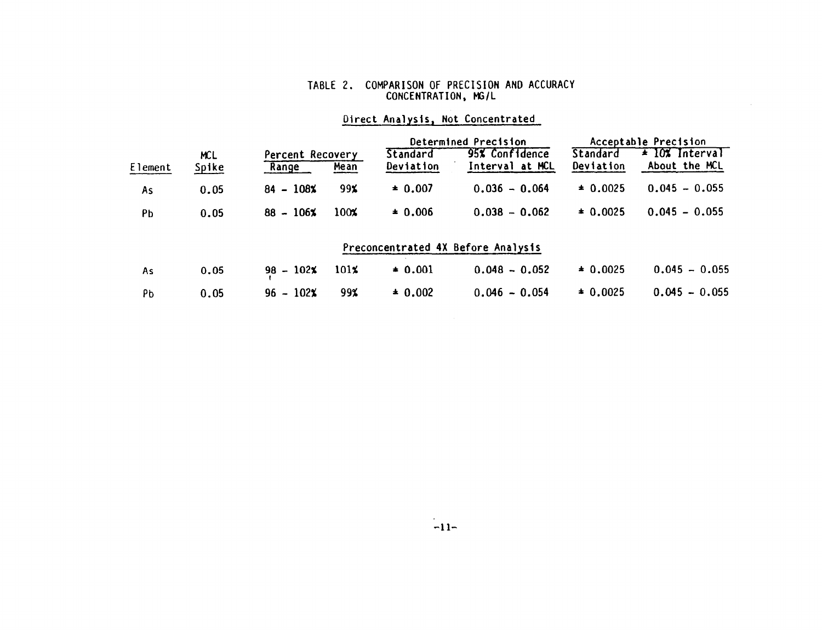#### TABLE COMPARISON OF PRECISION AND ACCURACY CONCENTRATION, MG

|         |       |                  |         | Determined Precision |                                    | Acceptable Precision |                    |
|---------|-------|------------------|---------|----------------------|------------------------------------|----------------------|--------------------|
|         | MCL.  | Percent Recovery |         | Standard             | 95% Confidence                     | Standard             | $\pm$ 10% Interval |
| Element | Spike | Range            | Mean    | Deviation            | Interval at MCL                    | Deviation            | About the MCL      |
| As      | 0.05  | $84 - 108\%$     | 99x     | $\pm 0.007$          | $0.036 - 0.064$                    | $\pm 0.0025$         | $0.045 - 0.055$    |
| Pb      | 0.05  | $88 - 106\%$     | 100%    | $* 0.006$            | $0.038 - 0.062$                    | $\pm 0.0025$         | $0.045 - 0.055$    |
|         |       |                  |         |                      | Preconcentrated 4X Before Analysis |                      |                    |
| As      | 0.05  | $98 - 102$ %     | $101\%$ | $* 0.001$            | $0.048 - 0.052$                    | $\pm 0.0025$         | $0.045 - 0.055$    |
| Pb      | 0.05  | $96 - 102\%$     | 99%     | $* 0.002$            | $0.046 - 0.054$                    | $* 0.0025$           | $0.045 - 0.055$    |

# Direct Analysis, Not Concentrated

 $\sim$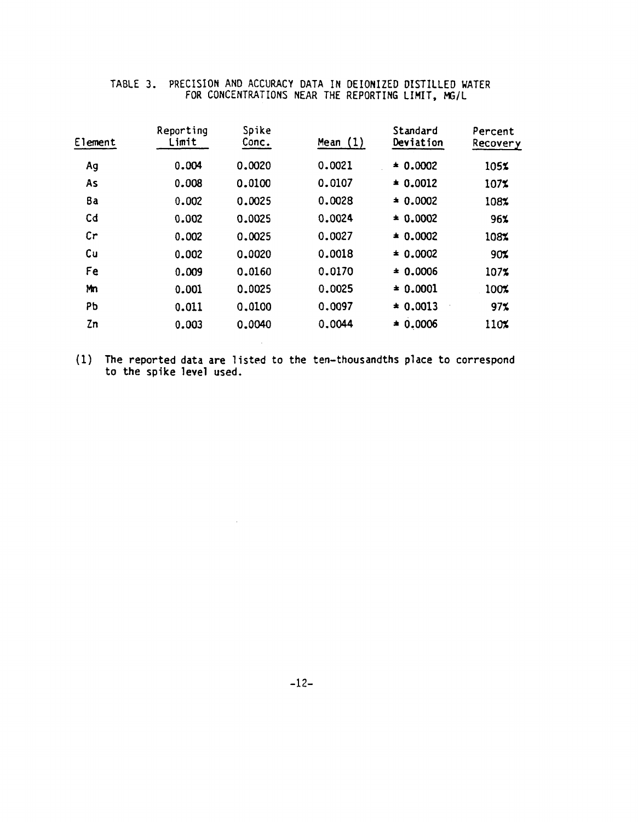| Element        | Reporting<br>Limit | Spike<br>Conc. | Mean $(1)$ | Standard<br>Deviation | Percent<br>Recovery |
|----------------|--------------------|----------------|------------|-----------------------|---------------------|
| Ag             | 0.004              | 0.0020         | 0.0021     | $* 0.0002$            | 105%                |
| As             | 0.008              | 0.0100         | 0.0107     | $* 0.0012$            | 107%                |
| 8a             | 0.002              | 0.0025         | 0.0028     | $* 0.0002$            | 108%                |
| C <sub>d</sub> | 0.002              | 0.0025         | 0.0024     | $* 0.0002$            | 96%                 |
| cr             | 0.002              | 0.0025         | 0.0027     | $* 0.0002$            | 108%                |
| Cu             | 0.002              | 0.0020         | 0.0018     | $\pm 0.0002$          | 90%                 |
| Fe             | 0.009              | 0.0160         | 0.0170     | $\pm 0.0006$          | 107%                |
| Mn             | 0.001              | 0.0025         | 0.0025     | $* 0.0001$            | 100%                |
| PЬ             | 0.011              | 0.0100         | 0.0097     | $\pm 0.0013$          | 97 <sub>2</sub>     |
| Zn             | 0.003              | 0.0040         | 0.0044     | $* 0.0006$            | 110%                |

## TABLE PRECISION AND ACCURACY DATA IN DEIONIZED DISTILLED WATER FOR CONCENTRATIONS NEAR THE REPORTING LIMIT, MG

(1) The reported data are listed to the ten-thousandths place to correspond to the spike level used

 $\sim 10$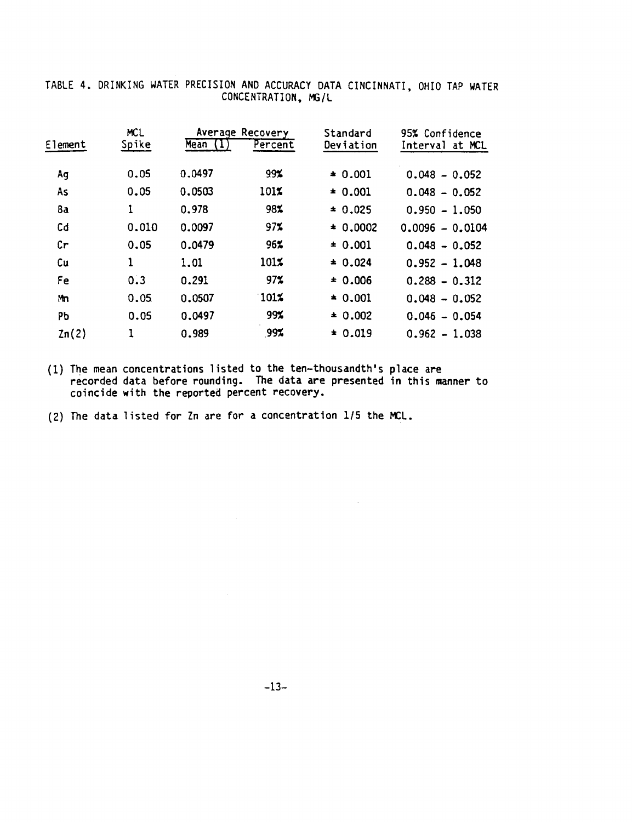| Element | <b>MCL</b><br>Spike | Mean (1) | Average Recovery<br>Percent | Standard<br>Deviation | 95% Confidence<br>Interval at MCL |
|---------|---------------------|----------|-----------------------------|-----------------------|-----------------------------------|
|         |                     |          |                             |                       |                                   |
| Ag      | 0.05                | 0.0497   | 99%                         | $* 0.001$             | $0.048 - 0.052$                   |
| As      | 0.05                | 0.0503   | 101%                        | $* 0.001$             | $0.048 - 0.052$                   |
| 8a      | 1                   | 0.978    | 98%                         | $* 0.025$             | $0.950 - 1.050$                   |
| Cd      | 0.010               | 0.0097   | 97%                         | $* 0.0002$            | $0.0096 - 0.0104$                 |
| Cr      | 0.05                | 0.0479   | 96%                         | ± 0.001               | $0.048 - 0.052$                   |
| Cu      | 1                   | 1.01     | 101%                        | $* 0.024$             | $0.952 - 1.048$                   |
| Fe      | 0.3                 | 0.291    | 97 <sub>2</sub>             | ± 0.006               | $0.288 - 0.312$                   |
| Mm      | 0.05                | 0.0507   | $101\%$                     | $* 0.001$             | $0.048 - 0.052$                   |
| PЬ      | 0.05                | 0.0497   | 99%                         | $* 0.002$             | $0.046 - 0.054$                   |
| 2n(2)   | 1                   | 0.989    | 99%                         | $* 0.019$             | $0.962 - 1.038$                   |
|         |                     |          |                             |                       |                                   |

TABLE 4. DRINKING WATER PRECISION AND ACCURACY DATA CINCINNATI, OHIO TAP WATER CONCENTRATION, MG/L

(1) The mean concentrations listed to the ten-thousandth's place are recorded data before rounding. The data are presented in this manner to coincide with the reported percent recovery

 $(2)$  The data listed for Zn are for a concentration 1/5 the MCL.